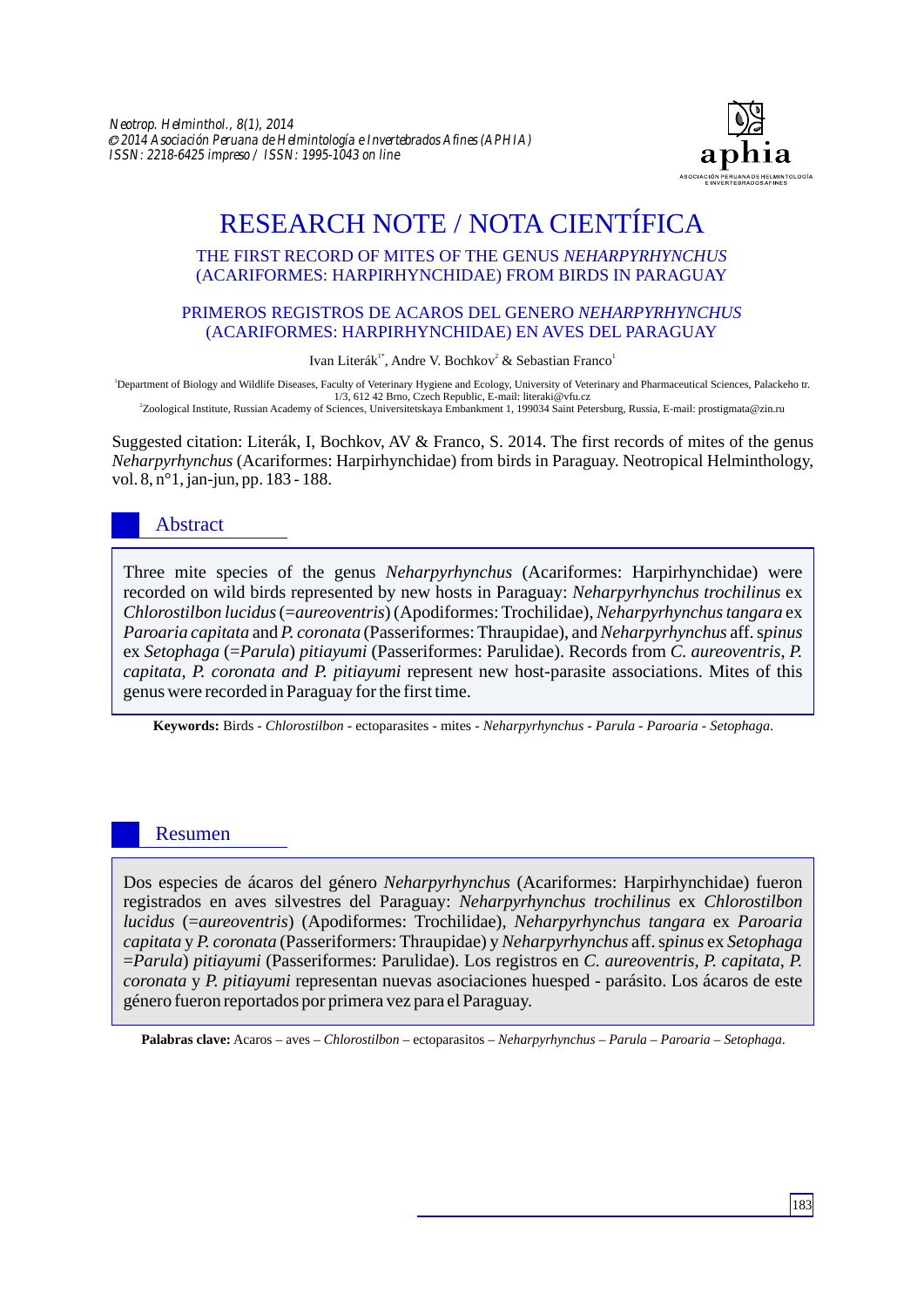

# RESEARCH NOTE / NOTA CIENTÍFICA

#### THE FIRST RECORD OF MITES OF THE GENUS *NEHARPYRHYNCHUS* (ACARIFORMES: HARPIRHYNCHIDAE) FROM BIRDS IN PARAGUAY

#### PRIMEROS REGISTROS DE ACAROS DEL GENERO *NEHARPYRHYNCHUS* (ACARIFORMES: HARPIRHYNCHIDAE) EN AVES DEL PARAGUAY

#### Ivan Literák<sup>1\*</sup>, Andre V. Bochkov<sup>2</sup> & Sebastian Franco<sup>1</sup>

<sup>1</sup>Department of Biology and Wildlife Diseases, Faculty of Veterinary Hygiene and Ecology, University of Veterinary and Pharmaceutical Sciences, Palackeho tr. 1/3, 612 42 Brno, Czech Republic, E-mail: literaki@vfu.cz 2 Zoological Institute, Russian Academy of Sciences, Universitetskaya Embankment 1, 199034 Saint Petersburg, Russia, E-mail: prostigmata@zin.ru

Suggested citation: Literák, I, Bochkov, AV & Franco, S. 2014. The first records of mites of the genus *Neharpyrhynchus* (Acariformes: Harpirhynchidae) from birds in Paraguay. Neotropical Helminthology, vol. 8, n°1, jan-jun, pp. 183 - 188.

## Abstract

Three mite species of the genus *Neharpyrhynchus* (Acariformes: Harpirhynchidae) were recorded on wild birds represented by new hosts in Paraguay: *Neharpyrhynchus trochilinus* ex *Chlorostilbon lucidus*(=*aureoventris*) (Apodiformes: Trochilidae), *Neharpyrhynchus tangara* ex *Paroaria capitata* and *P. coronata* (Passeriformes: Thraupidae), and *Neharpyrhynchus* aff. s*pinus*  ex *Setophaga* (=*Parula*) *pitiayumi* (Passeriformes: Parulidae). Records from *C. aureoventris*, *P. capitata*, *P. coronata and P. pitiayumi* represent new host-parasite associations. Mites of this genus were recorded in Paraguay for the first time.

**Keywords:** Birds - *Chlorostilbon* - ectoparasites - mites - *Neharpyrhynchus* - *Parula* - *Paroaria* - *Setophaga*.

### Resumen

Dos especies de ácaros del género *Neharpyrhynchus* (Acariformes: Harpirhynchidae) fueron registrados en aves silvestres del Paraguay: *Neharpyrhynchus trochilinus* ex *Chlorostilbon lucidus* (=*aureoventris*) (Apodiformes: Trochilidae), *Neharpyrhynchus tangara* ex *Paroaria capitata* y *P. coronata* (Passeriformers: Thraupidae) y *Neharpyrhynchus* aff. s*pinus* ex *Setophaga*  =*Parula*) *pitiayumi* (Passeriformes: Parulidae). Los registros en *C. aureoventris*, *P. capitata*, *P. coronata* y *P. pitiayumi* representan nuevas asociaciones huesped - parásito. Los ácaros de este género fueron reportados por primera vez para el Paraguay.

**Palabras clave:** Acaros – aves – *Chlorostilbon* – ectoparasitos – *Neharpyrhynchus* – *Parula* – *Paroaria* – *Setophaga*.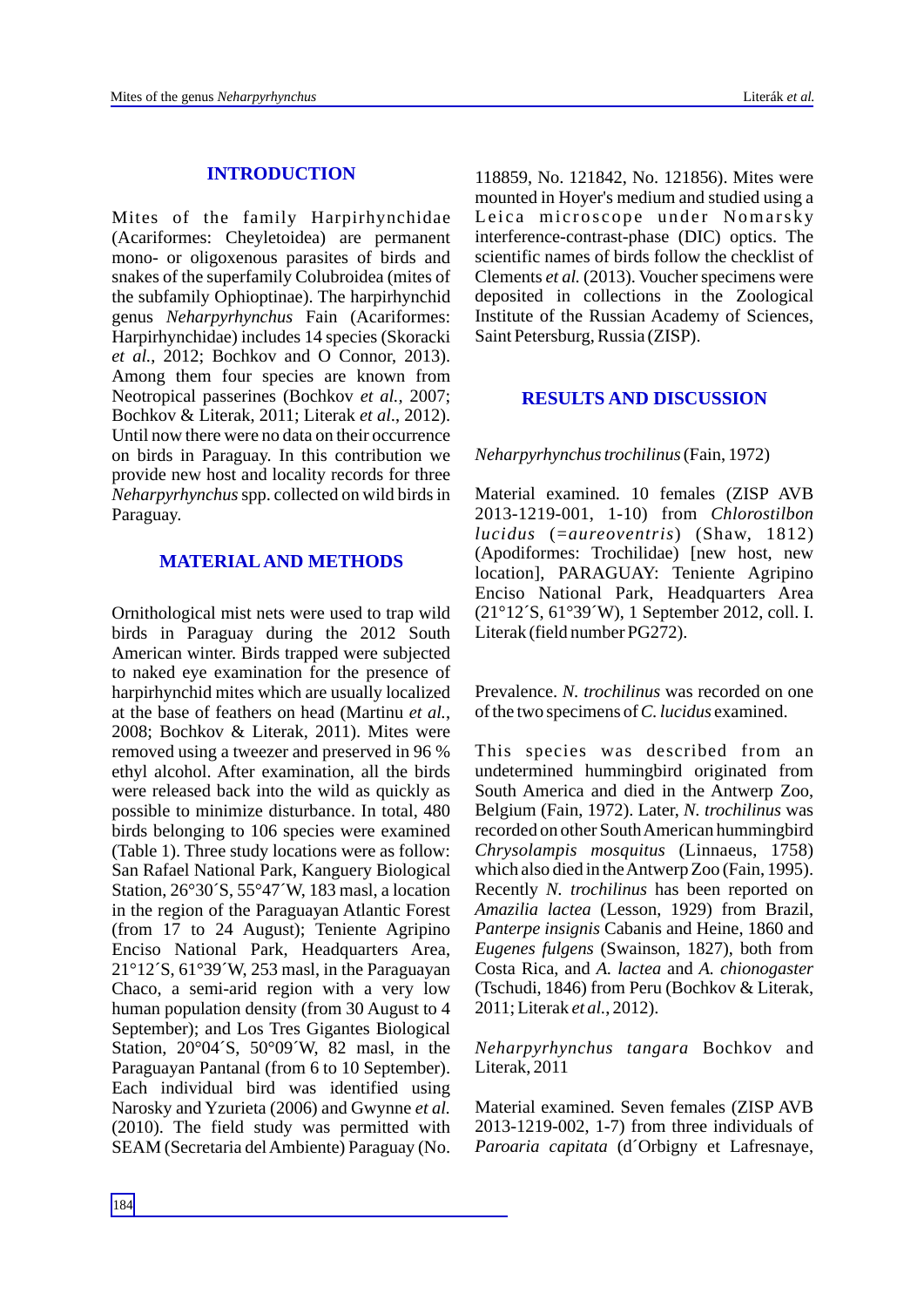#### **INTRODUCTION**

Mites of the family Harpirhynchidae (Acariformes: Cheyletoidea) are permanent mono- or oligoxenous parasites of birds and snakes of the superfamily Colubroidea (mites of the subfamily Ophioptinae). The harpirhynchid genus *Neharpyrhynchus* Fain (Acariformes: Harpirhynchidae) includes 14 species (Skoracki *et al.*, 2012; Bochkov and O Connor, 2013). Among them four species are known from Neotropical passerines (Bochkov *et al.,* 2007; Bochkov & Literak, 2011; Literak *et al*., 2012). Until now there were no data on their occurrence on birds in Paraguay. In this contribution we provide new host and locality records for three *Neharpyrhynchus*spp. collected on wild birds in Paraguay.

#### **MATERIALAND METHODS**

Ornithological mist nets were used to trap wild birds in Paraguay during the 2012 South American winter. Birds trapped were subjected to naked eye examination for the presence of harpirhynchid mites which are usually localized at the base of feathers on head (Martinu *et al.*, 2008; Bochkov & Literak, 2011). Mites were removed using a tweezer and preserved in 96 % ethyl alcohol. After examination, all the birds were released back into the wild as quickly as possible to minimize disturbance. In total, 480 birds belonging to 106 species were examined (Table 1). Three study locations were as follow: San Rafael National Park, Kanguery Biological Station, 26°30´S, 55°47´W, 183 masl, a location in the region of the Paraguayan Atlantic Forest (from 17 to 24 August); Teniente Agripino Enciso National Park, Headquarters Area, 21°12´S, 61°39´W, 253 masl, in the Paraguayan Chaco, a semi-arid region with a very low human population density (from 30 August to 4 September); and Los Tres Gigantes Biological Station, 20°04´S, 50°09´W, 82 masl, in the Paraguayan Pantanal (from 6 to 10 September). Each individual bird was identified using Narosky and Yzurieta (2006) and Gwynne *et al.* (2010). The field study was permitted with SEAM (Secretaria del Ambiente) Paraguay (No.

118859, No. 121842, No. 121856). Mites were mounted in Hoyer's medium and studied using a Leica microscope under Nomarsky interference-contrast-phase (DIC) optics. The scientific names of birds follow the checklist of Clements *et al.* (2013). Voucher specimens were deposited in collections in the Zoological Institute of the Russian Academy of Sciences, Saint Petersburg, Russia (ZISP).

#### **RESULTS AND DISCUSSION**

#### *Neharpyrhynchus trochilinus*(Fain, 1972)

Material examined. 10 females (ZISP AVB 2013-1219-001, 1-10) from *Chlorostilbon lucidus* (=*aureoventris*) (Shaw, 1812) (Apodiformes: Trochilidae) [new host, new location], PARAGUAY: Teniente Agripino Enciso National Park, Headquarters Area (21°12´S, 61°39´W), 1 September 2012, coll. I. Literak (field number PG272).

Prevalence. *N. trochilinus* was recorded on one of the two specimens of *C. lucidus* examined.

This species was described from an undetermined hummingbird originated from South America and died in the Antwerp Zoo, Belgium (Fain, 1972). Later, *N. trochilinus* was recorded on other South American hummingbird *Chrysolampis mosquitus* (Linnaeus, 1758) which also died in the Antwerp Zoo (Fain, 1995). Recently *N. trochilinus* has been reported on *Amazilia lactea* (Lesson, 1929) from Brazil, *Panterpe insignis* Cabanis and Heine, 1860 and *Eugenes fulgens* (Swainson, 1827), both from Costa Rica, and *A. lactea* and *A. chionogaster*  (Tschudi, 1846) from Peru (Bochkov & Literak, 2011; Literak *et al.*, 2012).

*Neharpyrhynchus tangara* Bochkov and Literak, 2011

Material examined. Seven females (ZISP AVB 2013-1219-002, 1-7) from three individuals of *Paroaria capitata* (d´Orbigny et Lafresnaye,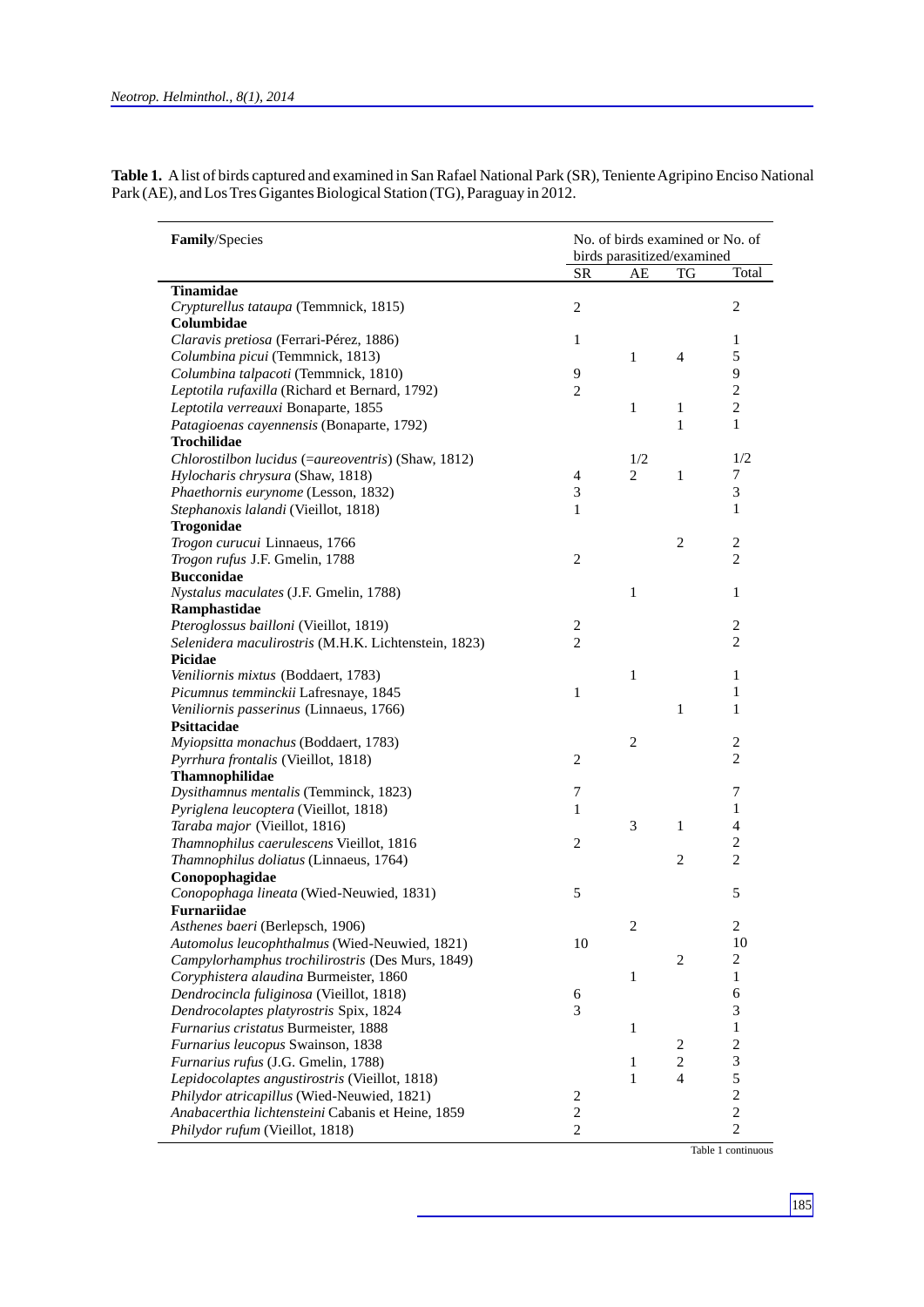| Table 1. A list of birds captured and examined in San Rafael National Park (SR), Teniente Agripino Enciso National |
|--------------------------------------------------------------------------------------------------------------------|
| Park (AE), and Los Tres Gigantes Biological Station (TG), Paraguay in 2012.                                        |

| Family/Species                                       | No. of birds examined or No. of<br>birds parasitized/examined |                |                  |                          |
|------------------------------------------------------|---------------------------------------------------------------|----------------|------------------|--------------------------|
|                                                      | SR                                                            | AE             | TG               | Total                    |
| <b>Tinamidae</b>                                     |                                                               |                |                  |                          |
| Crypturellus tataupa (Temmnick, 1815)                | $\mathbf{2}$                                                  |                |                  | $\mathfrak{2}$           |
| Columbidae                                           |                                                               |                |                  |                          |
| Claravis pretiosa (Ferrari-Pérez, 1886)              | $\mathbf{1}$                                                  |                |                  | $\mathbf{1}$             |
| Columbina picui (Temmnick, 1813)                     |                                                               | 1              | $\overline{4}$   | 5                        |
| Columbina talpacoti (Temmnick, 1810)                 | 9                                                             |                |                  | 9                        |
| Leptotila rufaxilla (Richard et Bernard, 1792)       | $\overline{c}$                                                |                |                  | $\overline{c}$           |
| Leptotila verreauxi Bonaparte, 1855                  |                                                               | $\mathbf{1}$   | $\mathbf{1}$     | $\overline{c}$           |
| Patagioenas cayennensis (Bonaparte, 1792)            |                                                               |                | $\mathbf{1}$     | $\mathbf{1}$             |
| Trochilidae                                          |                                                               |                |                  |                          |
| Chlorostilbon lucidus (=aureoventris) (Shaw, 1812)   |                                                               | 1/2            |                  | 1/2                      |
| Hylocharis chrysura (Shaw, 1818)                     | $\overline{4}$                                                | $\overline{c}$ | $\mathbf{1}$     | 7                        |
| Phaethornis eurynome (Lesson, 1832)                  | 3                                                             |                |                  | 3                        |
| Stephanoxis lalandi (Vieillot, 1818)                 | $\mathbf{1}$                                                  |                |                  | $\mathbf{1}$             |
| Trogonidae                                           |                                                               |                |                  |                          |
| Trogon curucui Linnaeus, 1766                        |                                                               |                | $\mathfrak{2}$   | $\mathfrak{2}$           |
| Trogon rufus J.F. Gmelin, 1788                       | $\overline{c}$                                                |                |                  | $\overline{c}$           |
| <b>Bucconidae</b>                                    |                                                               |                |                  |                          |
| Nystalus maculates (J.F. Gmelin, 1788)               |                                                               | $\mathbf{1}$   |                  | 1                        |
| Ramphastidae                                         |                                                               |                |                  |                          |
| Pteroglossus bailloni (Vieillot, 1819)               | 2                                                             |                |                  | 2                        |
| Selenidera maculirostris (M.H.K. Lichtenstein, 1823) | $\overline{c}$                                                |                |                  | $\overline{c}$           |
| Picidae                                              |                                                               |                |                  |                          |
| Veniliornis mixtus (Boddaert, 1783)                  |                                                               | $\mathbf{1}$   |                  | 1                        |
| Picumnus temminckii Lafresnaye, 1845                 | 1                                                             |                |                  | 1                        |
| Veniliornis passerinus (Linnaeus, 1766)              |                                                               |                | $\mathbf{1}$     | $\mathbf{1}$             |
| Psittacidae                                          |                                                               |                |                  |                          |
| Myiopsitta monachus (Boddaert, 1783)                 |                                                               | $\mathbf{2}$   |                  | 2                        |
| Pyrrhura frontalis (Vieillot, 1818)                  | $\overline{c}$                                                |                |                  | $\overline{c}$           |
| Thamnophilidae                                       |                                                               |                |                  |                          |
| Dysithamnus mentalis (Temminck, 1823)                | 7                                                             |                |                  | 7                        |
| Pyriglena leucoptera (Vieillot, 1818)                | $\mathbf{1}$                                                  |                |                  | 1                        |
| Taraba major (Vieillot, 1816)                        |                                                               | 3              | $\mathbf{1}$     | $\overline{\mathcal{L}}$ |
| Thamnophilus caerulescens Vieillot, 1816             | $\overline{c}$                                                |                |                  | 2                        |
| Thamnophilus doliatus (Linnaeus, 1764)               |                                                               |                | $\mathfrak{2}$   | $\overline{c}$           |
| Conopophagidae                                       |                                                               |                |                  |                          |
| Conopophaga lineata (Wied-Neuwied, 1831)             | 5                                                             |                |                  | 5                        |
| Furnariidae                                          |                                                               |                |                  |                          |
| Asthenes baeri (Berlepsch, 1906)                     |                                                               | $\overline{c}$ |                  | $\mathbf{2}$             |
| Automolus leucophthalmus (Wied-Neuwied, 1821)        | 10                                                            |                |                  | 10                       |
|                                                      |                                                               |                | $\sqrt{2}$       | $\overline{c}$           |
| Campylorhamphus trochilirostris (Des Murs, 1849)     |                                                               |                |                  |                          |
| Coryphistera alaudina Burmeister, 1860               |                                                               | 1              |                  | 1                        |
| Dendrocincla fuliginosa (Vieillot, 1818)             | 6                                                             |                |                  | 6                        |
| Dendrocolaptes platyrostris Spix, 1824               | 3                                                             |                |                  | 3                        |
| Furnarius cristatus Burmeister, 1888                 |                                                               | 1              |                  | $\mathbf{1}$             |
| Furnarius leucopus Swainson, 1838                    |                                                               |                | $\boldsymbol{2}$ | $\overline{c}$           |
| Furnarius rufus (J.G. Gmelin, 1788)                  |                                                               | 1              | $\overline{c}$   | 3                        |
| Lepidocolaptes angustirostris (Vieillot, 1818)       |                                                               | $\mathbf{1}$   | $\overline{4}$   | 5                        |
| Philydor atricapillus (Wied-Neuwied, 1821)           | $\overline{\mathbf{c}}$                                       |                |                  | $\overline{c}$           |
| Anabacerthia lichtensteini Cabanis et Heine, 1859    | $\overline{c}$                                                |                |                  | $\overline{c}$           |
| Philydor rufum (Vieillot, 1818)                      | 2                                                             |                |                  | $\overline{c}$           |

Table 1 continuous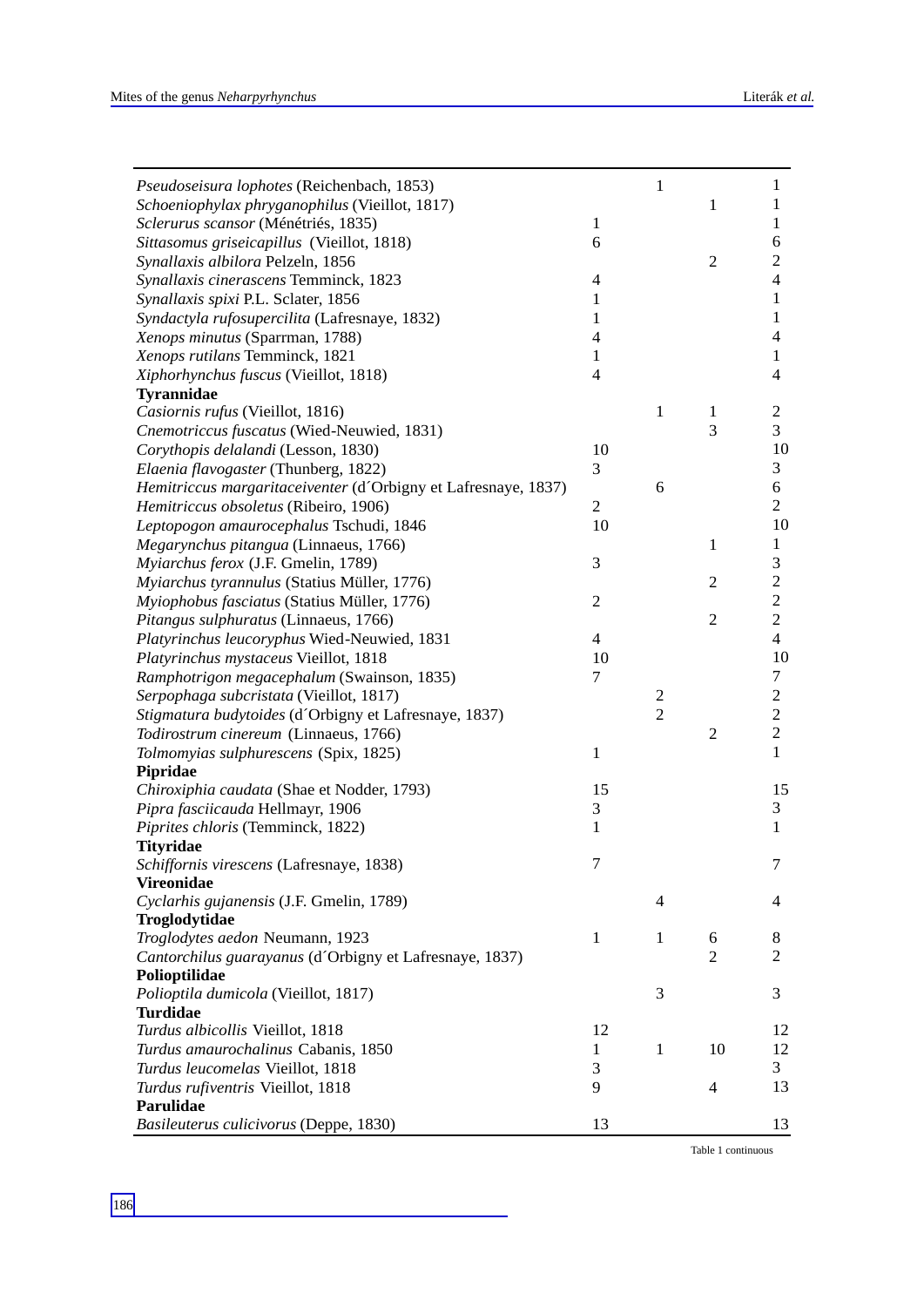| Pseudoseisura lophotes (Reichenbach, 1853)                     |                  | $\mathbf{1}$   |                | $\mathbf{1}$             |
|----------------------------------------------------------------|------------------|----------------|----------------|--------------------------|
| Schoeniophylax phryganophilus (Vieillot, 1817)                 |                  |                | 1              | 1                        |
| Sclerurus scansor (Ménétriés, 1835)                            | $\,1\,$          |                |                | 1                        |
| Sittasomus griseicapillus (Vieillot, 1818)                     | 6                |                |                | 6                        |
| Synallaxis albilora Pelzeln, 1856                              |                  |                | $\overline{2}$ | $\mathbf{2}$             |
| Synallaxis cinerascens Temminck, 1823                          | $\overline{4}$   |                |                | $\overline{\mathcal{L}}$ |
| Synallaxis spixi P.L. Sclater, 1856                            | 1                |                |                | $\mathbf{1}$             |
| Syndactyla rufosupercilita (Lafresnaye, 1832)                  | 1                |                |                | $\mathbf{1}$             |
| Xenops minutus (Sparrman, 1788)                                | $\overline{4}$   |                |                | $\overline{\mathcal{A}}$ |
| Xenops rutilans Temminck, 1821                                 | $\mathbf{1}$     |                |                | $\mathbf{1}$             |
| Xiphorhynchus fuscus (Vieillot, 1818)                          | $\overline{4}$   |                |                | $\overline{\mathcal{L}}$ |
| <b>Tyrannidae</b>                                              |                  |                |                |                          |
| Casiornis rufus (Vieillot, 1816)                               |                  | $\mathbf{1}$   | 1              | $\overline{c}$           |
| Cnemotriccus fuscatus (Wied-Neuwied, 1831)                     |                  |                | 3              | 3                        |
| Corythopis delalandi (Lesson, 1830)                            | 10               |                |                | 10                       |
| Elaenia flavogaster (Thunberg, 1822)                           | 3                |                |                | 3                        |
| Hemitriccus margaritaceiventer (d'Orbigny et Lafresnaye, 1837) |                  | 6              |                | 6                        |
| Hemitriccus obsoletus (Ribeiro, 1906)                          | $\mathbf{2}$     |                |                | $\overline{2}$           |
| Leptopogon amaurocephalus Tschudi, 1846                        | 10               |                |                | 10                       |
| Megarynchus pitangua (Linnaeus, 1766)                          |                  |                | 1              | $\mathbf{1}$             |
| Myiarchus ferox (J.F. Gmelin, 1789)                            | $\mathfrak{Z}$   |                |                | 3                        |
| Myiarchus tyrannulus (Statius Müller, 1776)                    |                  |                | 2              | $\mathfrak{2}$           |
| Myiophobus fasciatus (Statius Müller, 1776)                    | $\boldsymbol{2}$ |                |                | $\overline{2}$           |
| Pitangus sulphuratus (Linnaeus, 1766)                          |                  |                | $\overline{2}$ | $\mathbf{2}$             |
| Platyrinchus leucoryphus Wied-Neuwied, 1831                    | $\overline{4}$   |                |                | $\overline{\mathcal{L}}$ |
| Platyrinchus mystaceus Vieillot, 1818                          | 10               |                |                | 10                       |
| Ramphotrigon megacephalum (Swainson, 1835)                     | $\tau$           |                |                | $\tau$                   |
| Serpophaga subcristata (Vieillot, 1817)                        |                  | 2              |                | $\mathbf{2}$             |
| Stigmatura budytoides (d'Orbigny et Lafresnaye, 1837)          |                  | $\overline{c}$ |                | $\overline{c}$           |
| Todirostrum cinereum (Linnaeus, 1766)                          |                  |                | $\overline{c}$ | $\mathbf{2}$             |
| Tolmomyias sulphurescens (Spix, 1825)                          | $\mathbf{1}$     |                |                | $\mathbf{1}$             |
| Pipridae                                                       |                  |                |                |                          |
| Chiroxiphia caudata (Shae et Nodder, 1793)                     | 15               |                |                | 15                       |
| Pipra fasciicauda Hellmayr, 1906                               | 3                |                |                | 3                        |
| Piprites chloris (Temminck, 1822)                              | $\mathbf{1}$     |                |                | $\mathbf{1}$             |
| <b>Tityridae</b>                                               |                  |                |                |                          |
| Schiffornis virescens (Lafresnaye, 1838)                       | 7                |                |                | $\tau$                   |
| <b>Vireonidae</b>                                              |                  |                |                |                          |
| Cyclarhis gujanensis (J.F. Gmelin, 1789)                       |                  | $\overline{4}$ |                | 4                        |
| Troglodytidae                                                  |                  |                |                |                          |
| Troglodytes aedon Neumann, 1923                                | $\mathbf{1}$     | $\mathbf{1}$   | 6              | 8                        |
| Cantorchilus guarayanus (d'Orbigny et Lafresnaye, 1837)        |                  |                | $\overline{2}$ | 2                        |
| Polioptilidae                                                  |                  |                |                |                          |
| Polioptila dumicola (Vieillot, 1817)                           |                  | 3              |                | 3                        |
| <b>Turdidae</b>                                                |                  |                |                |                          |
| Turdus albicollis Vieillot, 1818                               | 12               |                |                | 12                       |
| Turdus amaurochalinus Cabanis, 1850                            | $\mathbf{1}$     | 1              | 10             | 12                       |
| Turdus leucomelas Vieillot, 1818                               | 3                |                |                | 3                        |
| Turdus rufiventris Vieillot, 1818                              | 9                |                | 4              | 13                       |
| Parulidae                                                      |                  |                |                |                          |
| Basileuterus culicivorus (Deppe, 1830)                         | 13               |                |                | 13                       |

Table 1 continuous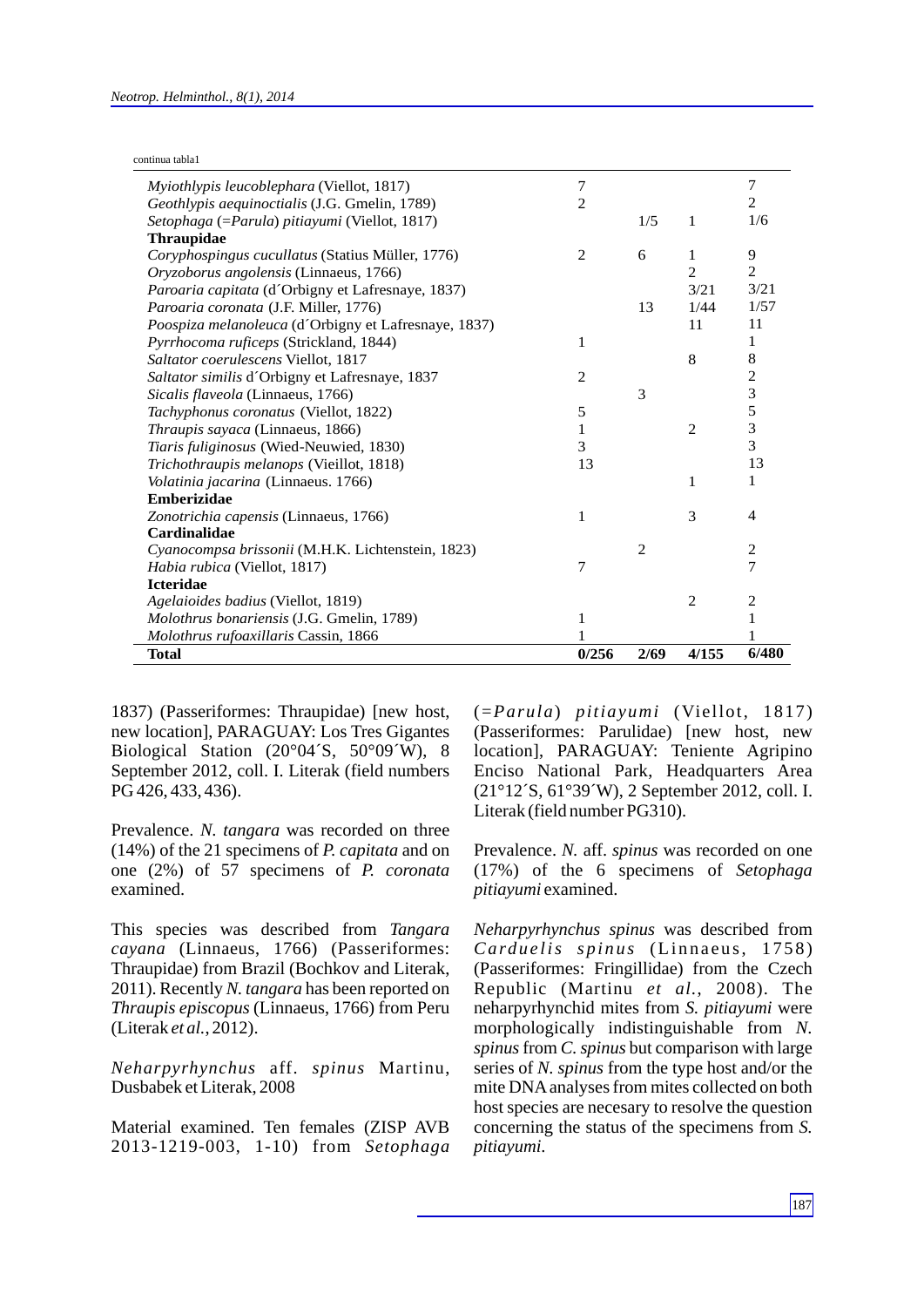continua tabla1

| Myiothlypis leucoblephara (Viellot, 1817)            | 7              |                |                | 7              |
|------------------------------------------------------|----------------|----------------|----------------|----------------|
| Geothlypis aequinoctialis (J.G. Gmelin, 1789)        | $\overline{2}$ |                |                | $\overline{c}$ |
| Setophaga (=Parula) pitiayumi (Viellot, 1817)        |                | 1/5            | 1              | 1/6            |
| <b>Thraupidae</b>                                    |                |                |                |                |
| Coryphospingus cucullatus (Statius Müller, 1776)     | 2              | 6              | 1              | 9              |
| Oryzoborus angolensis (Linnaeus, 1766)               |                |                | $\overline{c}$ | $\overline{c}$ |
| Paroaria capitata (d'Orbigny et Lafresnaye, 1837)    |                |                | 3/21           | 3/21           |
| Paroaria coronata (J.F. Miller, 1776)                |                | 13             | 1/44           | 1/57           |
| Poospiza melanoleuca (d'Orbigny et Lafresnaye, 1837) |                |                | 11             | 11             |
| Pyrrhocoma ruficeps (Strickland, 1844)               | 1              |                |                | 1              |
| Saltator coerulescens Viellot, 1817                  |                |                | 8              | 8              |
| Saltator similis d'Orbigny et Lafresnaye, 1837       | $\overline{2}$ |                |                | $\overline{c}$ |
| Sicalis flaveola (Linnaeus, 1766)                    |                | 3              |                | 3              |
| Tachyphonus coronatus (Viellot, 1822)                | 5              |                |                | 5              |
| Thraupis sayaca (Linnaeus, 1866)                     | 1              |                | $\overline{2}$ | 3              |
| Tiaris fuliginosus (Wied-Neuwied, 1830)              | 3              |                |                | 3              |
| Trichothraupis melanops (Vieillot, 1818)             | 13             |                |                | 13             |
| Volatinia jacarina (Linnaeus. 1766)                  |                |                | 1              | 1              |
| <b>Emberizidae</b>                                   |                |                |                |                |
| Zonotrichia capensis (Linnaeus, 1766)                | 1              |                | 3              | 4              |
| <b>Cardinalidae</b>                                  |                |                |                |                |
| Cyanocompsa brissonii (M.H.K. Lichtenstein, 1823)    |                | $\overline{2}$ |                | 2              |
| <i>Habia rubica</i> (Viellot, 1817)                  | 7              |                |                | 7              |
| <b>Icteridae</b>                                     |                |                |                |                |
| Agelaioides badius (Viellot, 1819)                   |                |                | $\overline{2}$ | $\overline{c}$ |
| Molothrus bonariensis (J.G. Gmelin, 1789)            | 1              |                |                | $\mathbf{1}$   |
| Molothrus rufoaxillaris Cassin, 1866                 |                |                |                |                |
| <b>Total</b>                                         | 0/256          | 2/69           | 4/155          | 6/480          |

1837) (Passeriformes: Thraupidae) [new host, new location], PARAGUAY: Los Tres Gigantes Biological Station (20°04´S, 50°09´W), 8 September 2012, coll. I. Literak (field numbers PG 426, 433, 436).

Prevalence. *N. tangara* was recorded on three (14%) of the 21 specimens of *P. capitata* and on one (2%) of 57 specimens of *P. coronata* examined.

This species was described from *Tangara cayana* (Linnaeus, 1766) (Passeriformes: Thraupidae) from Brazil (Bochkov and Literak, 2011). Recently *N. tangara* has been reported on *Thraupis episcopus* (Linnaeus, 1766) from Peru (Literak *et al.*, 2012).

*Neharpyrhynchus* aff. *spinus* Martinu, Dusbabek et Literak, 2008

Material examined. Ten females (ZISP AVB 2013-1219-003, 1-10) from *Setophaga* (=*Parula*) *pitiayumi* (Viellot, 1817) (Passeriformes: Parulidae) [new host, new location], PARAGUAY: Teniente Agripino Enciso National Park, Headquarters Area (21°12´S, 61°39´W), 2 September 2012, coll. I. Literak (field number PG310).

Prevalence. *N.* aff. *spinus* was recorded on one (17%) of the 6 specimens of *Setophaga pitiayumi* examined.

*Neharpyrhynchus spinus* was described from *Carduelis spinus* (Linnaeus, 1758) (Passeriformes: Fringillidae) from the Czech Republic (Martinu *et al.*, 2008). The neharpyrhynchid mites from *S. pitiayumi* were morphologically indistinguishable from *N. spinus* from *C. spinus* but comparison with large series of *N. spinus* from the type host and/or the mite DNAanalyses from mites collected on both host species are necesary to resolve the question concerning the status of the specimens from *S. pitiayumi*.